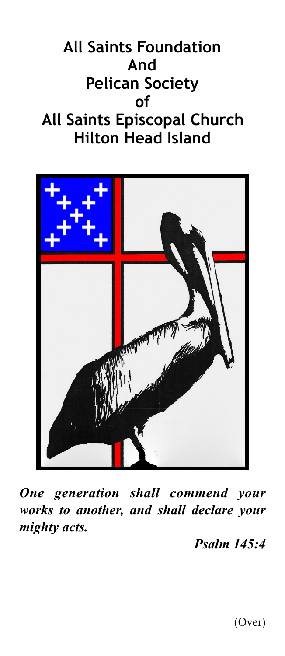# **All Saints Foundation And Pelican Society of All Saints Episcopal Church Hilton Head Island**



*One generation shall commend your works to another, and shall declare your mighty acts.* 

 *Psalm 145:4*